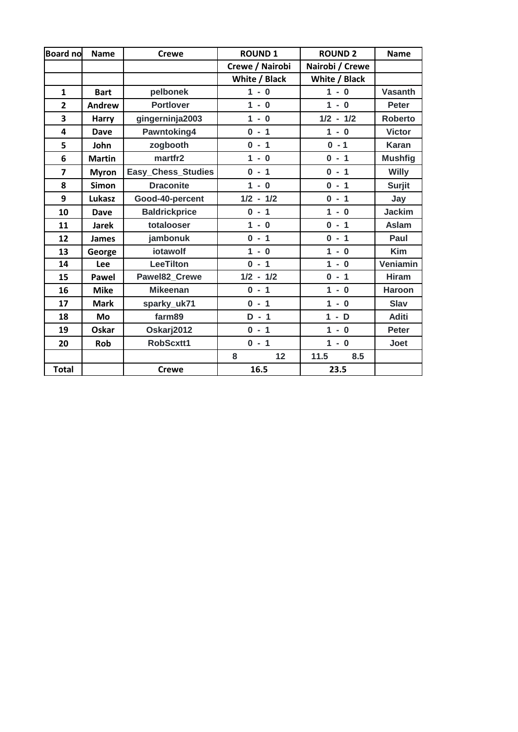| <b>Board no</b> | <b>Name</b>   | <b>Crewe</b>         | <b>ROUND 1</b>  | <b>ROUND 2</b>  | <b>Name</b>    |
|-----------------|---------------|----------------------|-----------------|-----------------|----------------|
|                 |               |                      | Crewe / Nairobi | Nairobi / Crewe |                |
|                 |               |                      | White / Black   | White / Black   |                |
| $\mathbf{1}$    | <b>Bart</b>   | pelbonek             | $1 - 0$         | $1 - 0$         | <b>Vasanth</b> |
| $\overline{2}$  | <b>Andrew</b> | <b>Portlover</b>     | $1 - 0$         | $1 - 0$         | Peter          |
| 3               | <b>Harry</b>  | gingerninja2003      | $1 - 0$         | $1/2 - 1/2$     | <b>Roberto</b> |
| 4               | <b>Dave</b>   | Pawntoking4          | $0 - 1$         | $1 - 0$         | <b>Victor</b>  |
| 5               | John          | zogbooth             | $0 - 1$         | $0 - 1$         | <b>Karan</b>   |
| 6               | <b>Martin</b> | martfr2              | $1 - 0$         | $0 - 1$         | <b>Mushfig</b> |
| $\overline{7}$  | <b>Myron</b>  | Easy_Chess_Studies   | $0 - 1$         | $0 - 1$         | <b>Willy</b>   |
| 8               | <b>Simon</b>  | <b>Draconite</b>     | $1 - 0$         | $0 - 1$         | <b>Surjit</b>  |
| 9               | Lukasz        | Good-40-percent      | $1/2 - 1/2$     | $0 - 1$         | Jay            |
| 10              | <b>Dave</b>   | <b>Baldrickprice</b> | $0 - 1$         | $1 - 0$         | <b>Jackim</b>  |
| 11              | <b>Jarek</b>  | totalooser           | $1 - 0$         | $0 - 1$         | Aslam          |
| 12              | James         | jambonuk             | $0 - 1$         | $0 - 1$         | Paul           |
| 13              | George        | iotawolf             | $1 - 0$         | $1 - 0$         | <b>Kim</b>     |
| 14              | <b>Lee</b>    | <b>LeeTilton</b>     | $0 - 1$         | $1 - 0$         | Veniamin       |
| 15              | <b>Pawel</b>  | Pawel82 Crewe        | $1/2 - 1/2$     | $0 - 1$         | <b>Hiram</b>   |
| 16              | <b>Mike</b>   | <b>Mikeenan</b>      | $0 - 1$         | $1 - 0$         | <b>Haroon</b>  |
| 17              | <b>Mark</b>   | sparky_uk71          | $0 - 1$         | $1 - 0$         | Slav           |
| 18              | Mo            | farm89               | $D - 1$         | $1 - D$         | <b>Aditi</b>   |
| 19              | Oskar         | Oskarj2012           | $0 - 1$         | $1 - 0$         | <b>Peter</b>   |
| 20              | <b>Rob</b>    | RobScxtt1            | $0 - 1$         | $1 - 0$         | Joet           |
|                 |               |                      | 12<br>8         | 11.5<br>8.5     |                |
| <b>Total</b>    |               | <b>Crewe</b>         | 16.5            | 23.5            |                |